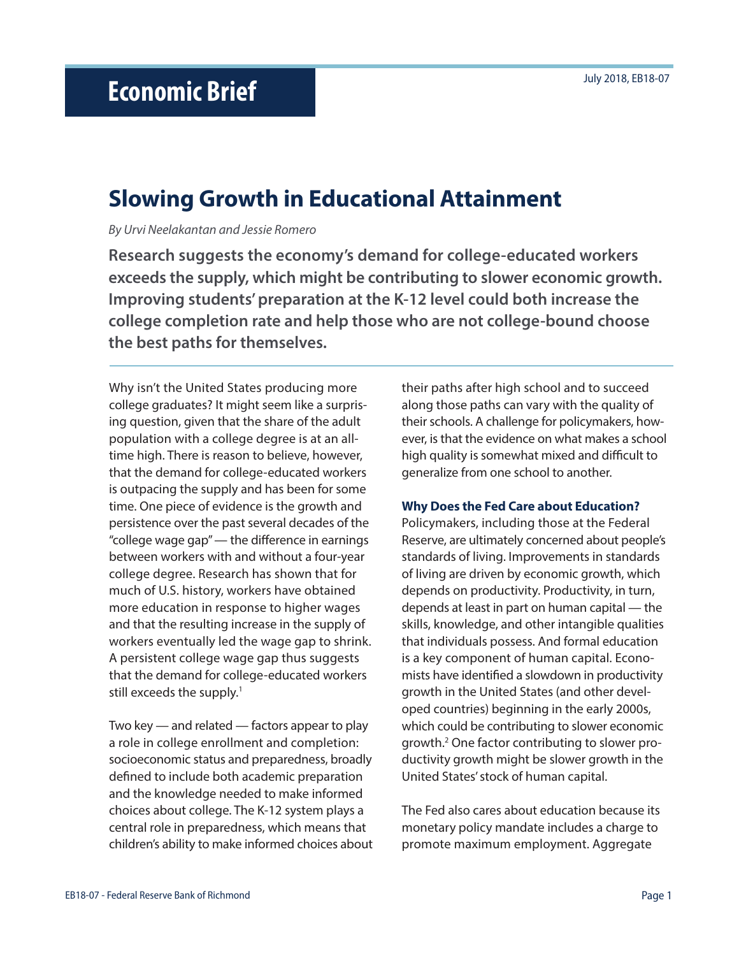# **Slowing Growth in Educational Attainment**

*By Urvi Neelakantan and Jessie Romero*

**Research suggests the economy's demand for college-educated workers exceeds the supply, which might be contributing to slower economic growth. Improving students' preparation at the K-12 level could both increase the college completion rate and help those who are not college-bound choose the best paths for themselves.** 

Why isn't the United States producing more college graduates? It might seem like a surprising question, given that the share of the adult population with a college degree is at an alltime high. There is reason to believe, however, that the demand for college-educated workers is outpacing the supply and has been for some time. One piece of evidence is the growth and persistence over the past several decades of the "college wage gap" — the difference in earnings between workers with and without a four-year college degree. Research has shown that for much of U.S. history, workers have obtained more education in response to higher wages and that the resulting increase in the supply of workers eventually led the wage gap to shrink. A persistent college wage gap thus suggests that the demand for college-educated workers still exceeds the supply.<sup>1</sup>

Two key — and related — factors appear to play a role in college enrollment and completion: socioeconomic status and preparedness, broadly defined to include both academic preparation and the knowledge needed to make informed choices about college. The K-12 system plays a central role in preparedness, which means that children's ability to make informed choices about their paths after high school and to succeed along those paths can vary with the quality of their schools. A challenge for policymakers, however, is that the evidence on what makes a school high quality is somewhat mixed and difficult to generalize from one school to another.

#### **Why Does the Fed Care about Education?**

Policymakers, including those at the Federal Reserve, are ultimately concerned about people's standards of living. Improvements in standards of living are driven by economic growth, which depends on productivity. Productivity, in turn, depends at least in part on human capital — the skills, knowledge, and other intangible qualities that individuals possess. And formal education is a key component of human capital. Economists have identified a slowdown in productivity growth in the United States (and other developed countries) beginning in the early 2000s, which could be contributing to slower economic growth.2 One factor contributing to slower productivity growth might be slower growth in the United States' stock of human capital.

The Fed also cares about education because its monetary policy mandate includes a charge to promote maximum employment. Aggregate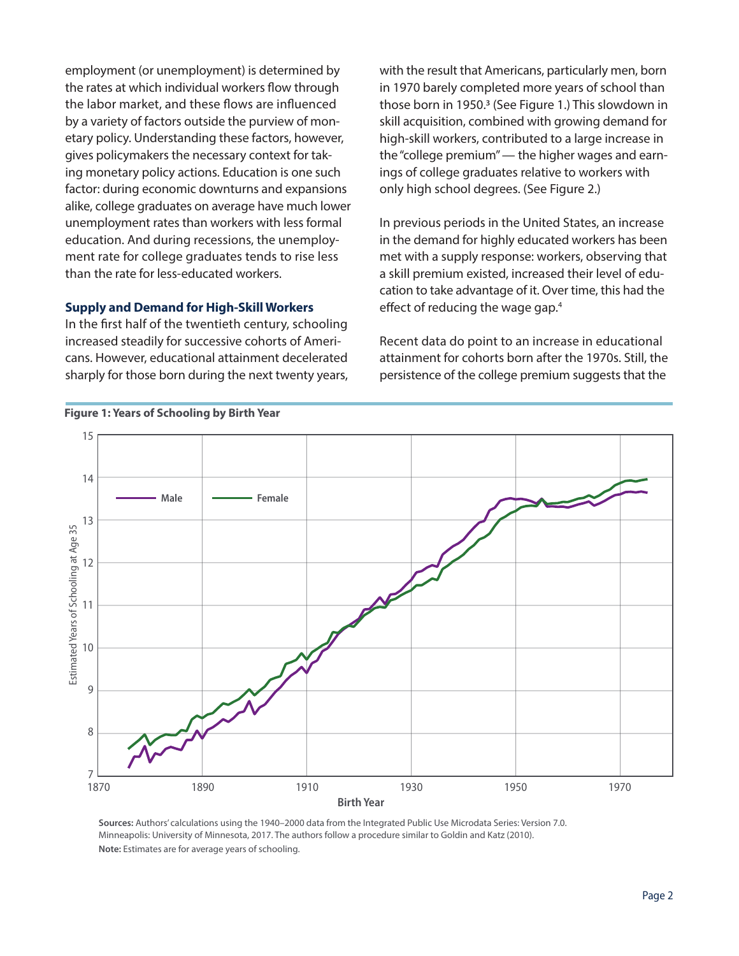employment (or unemployment) is determined by the rates at which individual workers flow through the labor market, and these flows are influenced by a variety of factors outside the purview of monetary policy. Understanding these factors, however, gives policymakers the necessary context for taking monetary policy actions. Education is one such factor: during economic downturns and expansions alike, college graduates on average have much lower unemployment rates than workers with less formal education. And during recessions, the unemployment rate for college graduates tends to rise less than the rate for less-educated workers.

## **Supply and Demand for High-Skill Workers**

In the first half of the twentieth century, schooling increased steadily for successive cohorts of Americans. However, educational attainment decelerated sharply for those born during the next twenty years, with the result that Americans, particularly men, born in 1970 barely completed more years of school than those born in 1950.3 (See Figure 1.) This slowdown in skill acquisition, combined with growing demand for high-skill workers, contributed to a large increase in the "college premium" — the higher wages and earnings of college graduates relative to workers with only high school degrees. (See Figure 2.)

In previous periods in the United States, an increase in the demand for highly educated workers has been met with a supply response: workers, observing that a skill premium existed, increased their level of education to take advantage of it. Over time, this had the effect of reducing the wage gap.<sup>4</sup>

Recent data do point to an increase in educational attainment for cohorts born after the 1970s. Still, the persistence of the college premium suggests that the



**Sources:** Authors' calculations using the 1940–2000 data from the Integrated Public Use Microdata Series: Version 7.0. Minneapolis: University of Minnesota, 2017. The authors follow a procedure similar to Goldin and Katz (2010). **Note:** Estimates are for average years of schooling.

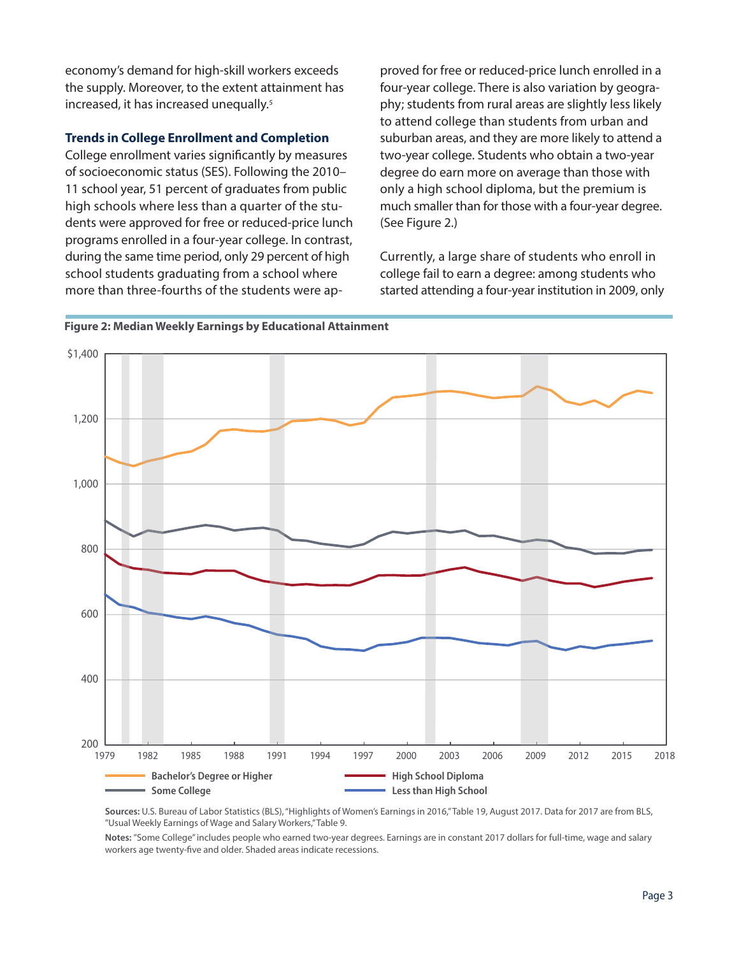economy's demand for high-skill workers exceeds the supply. Moreover, to the extent attainment has increased, it has increased unequally.<sup>5</sup>

## **Trends in College Enrollment and Completion**

College enrollment varies significantly by measures of socioeconomic status (SES). Following the 2010– 11 school year, 51 percent of graduates from public high schools where less than a quarter of the students were approved for free or reduced-price lunch programs enrolled in a four-year college. In contrast, during the same time period, only 29 percent of high school students graduating from a school where more than three-fourths of the students were ap-

proved for free or reduced-price lunch enrolled in a four-year college. There is also variation by geography; students from rural areas are slightly less likely to attend college than students from urban and suburban areas, and they are more likely to attend a two-year college. Students who obtain a two-year degree do earn more on average than those with only a high school diploma, but the premium is much smaller than for those with a four-year degree. (See Figure 2.)

Currently, a large share of students who enroll in college fail to earn a degree: among students who started attending a four-year institution in 2009, only





Sources: U.S. Bureau of Labor Statistics (BLS), "Highlights of Women's Earnings in 2016,"Table 19, August 2017. Data for 2017 are from BLS, "Usual Weekly Earnings of Wage and Salary Workers," Table 9.

Notes: "Some College" includes people who earned two-year degrees. Earnings are in constant 2017 dollars for full-time, wage and salary workers age twenty-five and older. Shaded areas indicate recessions.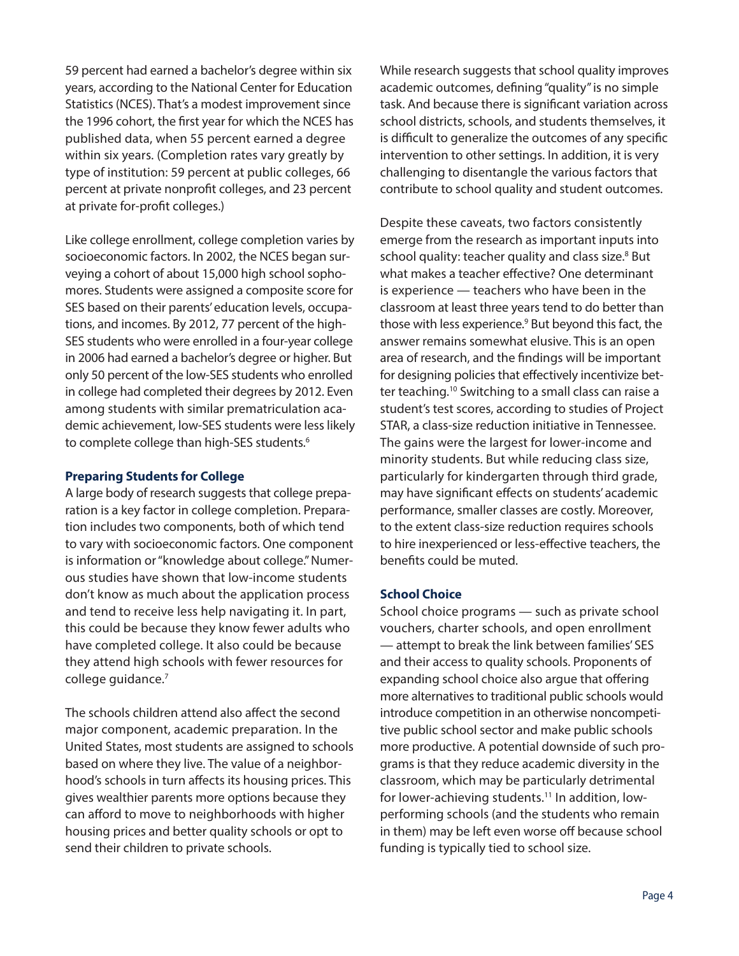59 percent had earned a bachelor's degree within six years, according to the National Center for Education Statistics (NCES). That's a modest improvement since the 1996 cohort, the first year for which the NCES has published data, when 55 percent earned a degree within six years. (Completion rates vary greatly by type of institution: 59 percent at public colleges, 66 percent at private nonprofit colleges, and 23 percent at private for-profit colleges.)

Like college enrollment, college completion varies by socioeconomic factors. In 2002, the NCES began surveying a cohort of about 15,000 high school sophomores. Students were assigned a composite score for SES based on their parents' education levels, occupations, and incomes. By 2012, 77 percent of the high-SES students who were enrolled in a four-year college in 2006 had earned a bachelor's degree or higher. But only 50 percent of the low-SES students who enrolled in college had completed their degrees by 2012. Even among students with similar prematriculation academic achievement, low-SES students were less likely to complete college than high-SES students.<sup>6</sup>

## **Preparing Students for College**

A large body of research suggests that college preparation is a key factor in college completion. Preparation includes two components, both of which tend to vary with socioeconomic factors. One component is information or "knowledge about college." Numerous studies have shown that low-income students don't know as much about the application process and tend to receive less help navigating it. In part, this could be because they know fewer adults who have completed college. It also could be because they attend high schools with fewer resources for college guidance.7

The schools children attend also affect the second major component, academic preparation. In the United States, most students are assigned to schools based on where they live. The value of a neighborhood's schools in turn affects its housing prices. This gives wealthier parents more options because they can afford to move to neighborhoods with higher housing prices and better quality schools or opt to send their children to private schools.

While research suggests that school quality improves academic outcomes, defining "quality" is no simple task. And because there is significant variation across school districts, schools, and students themselves, it is difficult to generalize the outcomes of any specific intervention to other settings. In addition, it is very challenging to disentangle the various factors that contribute to school quality and student outcomes.

Despite these caveats, two factors consistently emerge from the research as important inputs into school quality: teacher quality and class size.<sup>8</sup> But what makes a teacher effective? One determinant is experience — teachers who have been in the classroom at least three years tend to do better than those with less experience.<sup>9</sup> But beyond this fact, the answer remains somewhat elusive. This is an open area of research, and the findings will be important for designing policies that effectively incentivize better teaching.<sup>10</sup> Switching to a small class can raise a student's test scores, according to studies of Project STAR, a class-size reduction initiative in Tennessee. The gains were the largest for lower-income and minority students. But while reducing class size, particularly for kindergarten through third grade, may have significant effects on students' academic performance, smaller classes are costly. Moreover, to the extent class-size reduction requires schools to hire inexperienced or less-effective teachers, the benefits could be muted.

## **School Choice**

School choice programs — such as private school vouchers, charter schools, and open enrollment — attempt to break the link between families' SES and their access to quality schools. Proponents of expanding school choice also argue that offering more alternatives to traditional public schools would introduce competition in an otherwise noncompetitive public school sector and make public schools more productive. A potential downside of such programs is that they reduce academic diversity in the classroom, which may be particularly detrimental for lower-achieving students.<sup>11</sup> In addition, lowperforming schools (and the students who remain in them) may be left even worse off because school funding is typically tied to school size.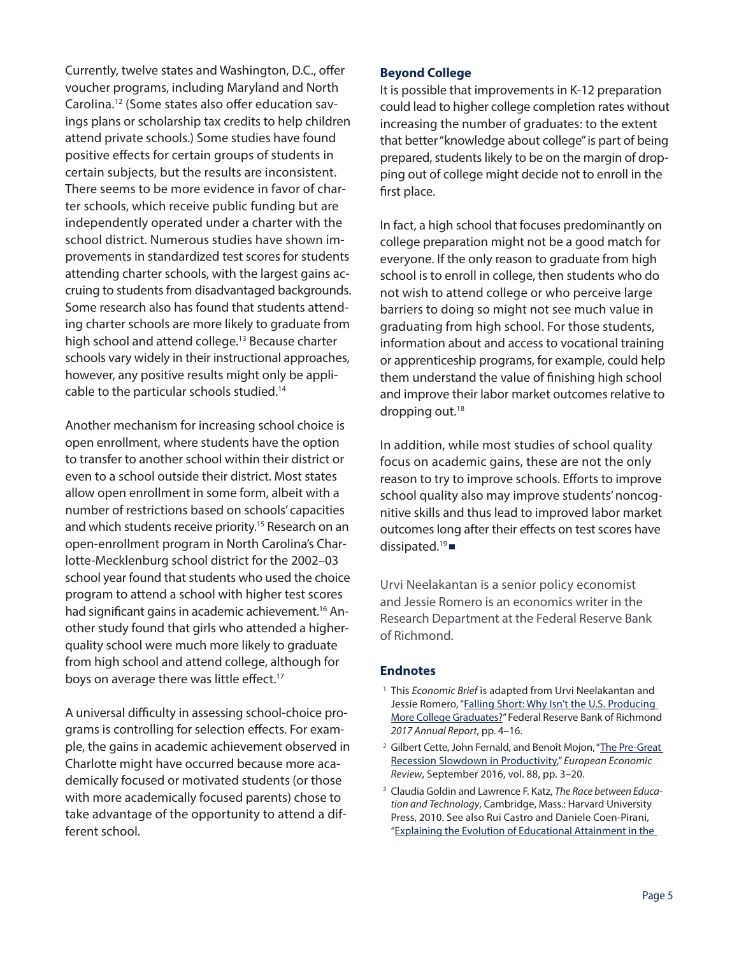Currently, twelve states and Washington, D.C., offer voucher programs, including Maryland and North Carolina.12 (Some states also offer education savings plans or scholarship tax credits to help children attend private schools.) Some studies have found positive effects for certain groups of students in certain subjects, but the results are inconsistent. There seems to be more evidence in favor of charter schools, which receive public funding but are independently operated under a charter with the school district. Numerous studies have shown improvements in standardized test scores for students attending charter schools, with the largest gains accruing to students from disadvantaged backgrounds. Some research also has found that students attending charter schools are more likely to graduate from high school and attend college.<sup>13</sup> Because charter schools vary widely in their instructional approaches, however, any positive results might only be applicable to the particular schools studied.14

Another mechanism for increasing school choice is open enrollment, where students have the option to transfer to another school within their district or even to a school outside their district. Most states allow open enrollment in some form, albeit with a number of restrictions based on schools' capacities and which students receive priority.<sup>15</sup> Research on an open-enrollment program in North Carolina's Charlotte-Mecklenburg school district for the 2002–03 school year found that students who used the choice program to attend a school with higher test scores had significant gains in academic achievement.<sup>16</sup> Another study found that girls who attended a higherquality school were much more likely to graduate from high school and attend college, although for boys on average there was little effect.<sup>17</sup>

A universal difficulty in assessing school-choice programs is controlling for selection effects. For example, the gains in academic achievement observed in Charlotte might have occurred because more academically focused or motivated students (or those with more academically focused parents) chose to take advantage of the opportunity to attend a different school.

## **Beyond College**

It is possible that improvements in K-12 preparation could lead to higher college completion rates without increasing the number of graduates: to the extent that better "knowledge about college" is part of being prepared, students likely to be on the margin of dropping out of college might decide not to enroll in the first place.

In fact, a high school that focuses predominantly on college preparation might not be a good match for everyone. If the only reason to graduate from high school is to enroll in college, then students who do not wish to attend college or who perceive large barriers to doing so might not see much value in graduating from high school. For those students, information about and access to vocational training or apprenticeship programs, for example, could help them understand the value of finishing high school and improve their labor market outcomes relative to dropping out.<sup>18</sup>

In addition, while most studies of school quality focus on academic gains, these are not the only reason to try to improve schools. Efforts to improve school quality also may improve students' noncognitive skills and thus lead to improved labor market outcomes long after their effects on test scores have dissipated.<sup>19</sup> $\blacksquare$ 

Urvi Neelakantan is a senior policy economist and Jessie Romero is an economics writer in the Research Department at the Federal Reserve Bank of Richmond.

#### **Endnotes**

- <sup>1</sup> This *Economic Brief* is adapted from Urvi Neelakantan and Jessie Romero, "Falling Short: Why Isn't the U.S. Producing [More College Graduates?"](https://www.richmondfed.org/-/media/richmondfedorg/publications/research/annual_report/2017/article.pdf) Federal Reserve Bank of Richmond *2017 Annual Report*, pp. 4–16.
- <sup>2</sup> Gilbert Cette, John Fernald, and Benoît Mojon, "The Pre-Great [Recession Slowdown in Productivity,](https://doi.org/10.1016/j.euroecorev.2016.03.012)" *European Economic Review*, September 2016, vol. 88, pp. 3–20.
- 3 Claudia Goldin and Lawrence F. Katz, *The Race between Education and Technology*, Cambridge, Mass.: Harvard University Press, 2010. See also Rui Castro and Daniele Coen-Pirani, ["Explaining the Evolution of Educational Attainment in the](https://doi.org/10.1257/mac.20130139)